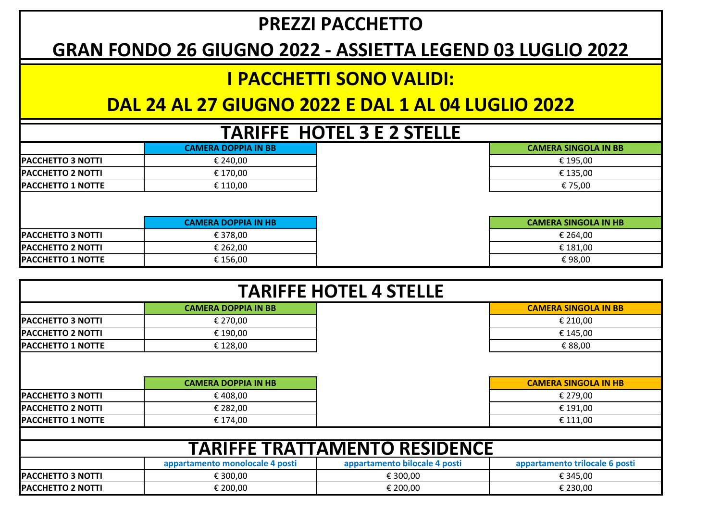### **PREZZI PACCHETTO**

#### **GRAN FONDO 26 GIUGNO 2022 - ASSIETTA LEGEND 03 LUGLIO 2022**

#### **I PACCHETTI SONO VALIDI:**

#### **DAL 24 AL 27 GIUGNO 2022 E DAL 1 AL 04 LUGLIO 2022**

## **TARIFFE HOTEL 3 E 2 STELLE**

| <b>CAMERA SINGOLA IN BB</b> |
|-----------------------------|
| € 195,00                    |
| € 135,00                    |
| €75,00                      |
|                             |

| <b>CAMERA SINGOLA IN BB</b> |  |
|-----------------------------|--|
| € 195,00                    |  |
| € 135,00                    |  |
| € 75,00                     |  |
|                             |  |

|                           | <b>CAMERA DOPPIA IN HB</b> |
|---------------------------|----------------------------|
| <b>IPACCHETTO 3 NOTTI</b> | € 378,00                   |
| <b>PACCHETTO 2 NOTTI</b>  | € 262,00                   |
| <b>PACCHETTO 1 NOTTE</b>  | € 156,00                   |

| <b>TARIFFE HOTEL 4 STELLE</b> |                                 |                                      |                                |  |
|-------------------------------|---------------------------------|--------------------------------------|--------------------------------|--|
|                               | <b>CAMERA DOPPIA IN BB</b>      |                                      | <b>CAMERA SINGOLA IN BB</b>    |  |
| <b>PACCHETTO 3 NOTTI</b>      | € 270,00                        |                                      | € 210,00                       |  |
| <b>PACCHETTO 2 NOTTI</b>      | € 190,00                        | € 145,00                             |                                |  |
| <b>PACCHETTO 1 NOTTE</b>      | € 128,00                        | € 88,00                              |                                |  |
|                               |                                 |                                      |                                |  |
|                               | <b>CAMERA DOPPIA IN HB</b>      |                                      | <b>CAMERA SINGOLA IN HB</b>    |  |
| <b>PACCHETTO 3 NOTTI</b>      | €408,00                         | € 279,00                             |                                |  |
| <b>PACCHETTO 2 NOTTI</b>      | € 282,00<br>€ 191,00            |                                      |                                |  |
| <b>PACCHETTO 1 NOTTE</b>      | € 174,00                        | € 111,00                             |                                |  |
|                               |                                 |                                      |                                |  |
|                               |                                 | <b>TARIFFE TRATTAMENTO RESIDENCE</b> |                                |  |
|                               | appartamento monolocale 4 posti | appartamento bilocale 4 posti        | appartamento trilocale 6 posti |  |
| <b>PACCHETTO 3 NOTTI</b>      | € 300,00                        | € 300,00                             | € 345,00                       |  |
| <b>PACCHETTO 2 NOTTI</b>      | € 200,00                        | € 200,00<br>€ 230,00                 |                                |  |